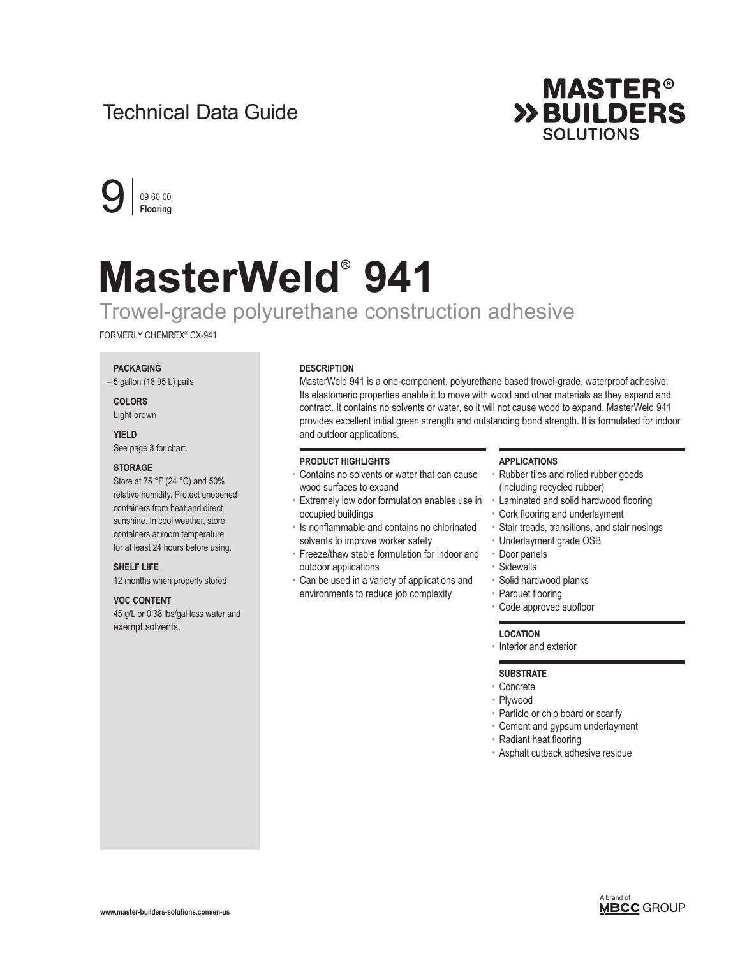## Technical Data Guide





# **MasterWeld® 941**

## Trowel-grade polyurethane construction adhesive

FORMERLY CHEMREX® CX-941

#### **PACKAGING**

– 5 gallon (18.95 L) pails

**COLORS**  Light brown

### **YIELD**

See page 3 for chart.

#### **STORAGE**

Store at 75 °F (24 °C) and 50% relative humidity. Protect unopened containers from heat and direct sunshine. In cool weather, store containers at room temperature for at least 24 hours before using.

#### **SHELF LIFE**

12 months when properly stored

#### **VOC CONTENT**

45 g/L or 0.38 lbs/gal less water and exempt solvents.

#### **DESCRIPTION**

MasterWeld 941 is a one-component, polyurethane based trowel-grade, waterproof adhesive. Its elastomeric properties enable it to move with wood and other materials as they expand and contract. It contains no solvents or water, so it will not cause wood to expand. MasterWeld 941 provides excellent initial green strength and outstanding bond strength. It is formulated for indoor and outdoor applications.

#### **PRODUCT HIGHLIGHTS**

- Contains no solvents or water that can cause wood surfaces to expand
- Extremely low odor formulation enables use in occupied buildings
- Is nonflammable and contains no chlorinated solvents to improve worker safety
- Freeze/thaw stable formulation for indoor and outdoor applications
- Can be used in a variety of applications and environments to reduce job complexity

#### **APPLICATIONS**

- Rubber tiles and rolled rubber goods (including recycled rubber)
- Laminated and solid hardwood flooring
- Cork flooring and underlayment
- Stair treads, transitions, and stair nosings • Underlayment grade OSB
- Door panels
- Sidewalls
- Solid hardwood planks
- Parquet flooring
- Code approved subfloor

#### **LOCATION**

• Interior and exterior

#### **SUBSTRATE**

- Concrete
- Plywood
- Particle or chip board or scarify
- Cement and gypsum underlayment
- Radiant heat flooring
- Asphalt cutback adhesive residue

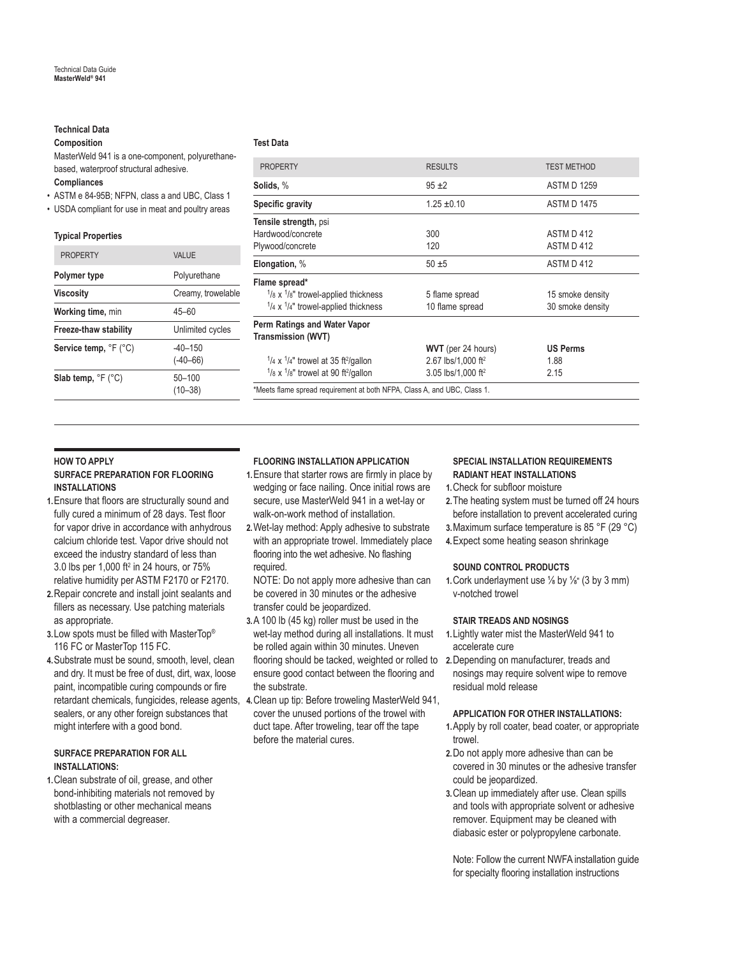#### **Technical Data**

#### **Composition**

MasterWeld 941 is a one-component, polyurethanebased, waterproof structural adhesive. **Compliances**

- ASTM e 84-95B; NFPN, class a and UBC, Class 1
- USDA compliant for use in meat and poultry areas

#### **Typical Properties**

| <b>PROPERTY</b>                       | VAI UF                    |
|---------------------------------------|---------------------------|
| Polymer type                          | Polyurethane              |
| <b>Viscosity</b>                      | Creamy, trowelable        |
| Working time, min                     | 45–60                     |
| Freeze-thaw stability                 | Unlimited cycles          |
| Service temp, °F (°C)                 | $-40-150$<br>$(-40 - 66)$ |
| Slab temp, $\degree$ F ( $\degree$ C) | $50 - 100$<br>$(10 - 38)$ |

#### **Test Data**

| <b>PROPERTY</b>                                                          | <b>RESULTS</b>                 | <b>TEST METHOD</b> |  |
|--------------------------------------------------------------------------|--------------------------------|--------------------|--|
| Solids, %                                                                | $95 + 2$                       | ASTM D 1259        |  |
| Specific gravity                                                         | $1.25 \pm 0.10$                | <b>ASTM D 1475</b> |  |
| Tensile strength, psi                                                    |                                |                    |  |
| Hardwood/concrete                                                        | 300                            | ASTM D 412         |  |
| Plywood/concrete                                                         | 120                            | ASTM D 412         |  |
| Elongation, %                                                            | $50 + 5$                       | ASTM D 412         |  |
| Flame spread*                                                            |                                |                    |  |
| $\frac{1}{8}$ x $\frac{1}{8}$ " trowel-applied thickness                 | 5 flame spread                 | 15 smoke density   |  |
| $\frac{1}{4}$ x $\frac{1}{4}$ " trowel-applied thickness                 | 10 flame spread                | 30 smoke density   |  |
| Perm Ratings and Water Vapor                                             |                                |                    |  |
| <b>Transmission (WVT)</b>                                                |                                |                    |  |
|                                                                          | <b>WVT</b> (per 24 hours)      | <b>US Perms</b>    |  |
| $\frac{1}{4}$ x $\frac{1}{4}$ " trowel at 35 ft <sup>2</sup> /gallon     | 2.67 lbs/1,000 ft <sup>2</sup> | 1.88               |  |
| $1/8 \times 1/8$ " trowel at 90 ft <sup>2</sup> /gallon                  | 3.05 lbs/1.000 ft <sup>2</sup> | 2.15               |  |
| *Meets flame spread requirement at both NFPA, Class A, and UBC, Class 1. |                                |                    |  |
|                                                                          |                                |                    |  |

#### **HOW TO APPLY**

#### **SURFACE PREPARATION FOR FLOORING INSTALLATIONS**

- **1.**Ensure that floors are structurally sound and fully cured a minimum of 28 days. Test floor for vapor drive in accordance with anhydrous calcium chloride test. Vapor drive should not exceed the industry standard of less than 3.0 lbs per 1,000 ft<sup>2</sup> in 24 hours, or 75% relative humidity per ASTM F2170 or F2170.
- **2.**Repair concrete and install joint sealants and fillers as necessary. Use patching materials as appropriate.
- **3.**Low spots must be filled with MasterTop® 116 FC or MasterTop 115 FC.
- **4.**Substrate must be sound, smooth, level, clean and dry. It must be free of dust, dirt, wax, loose paint, incompatible curing compounds or fire sealers, or any other foreign substances that might interfere with a good bond.

#### **SURFACE PREPARATION FOR ALL INSTALLATIONS:**

**1.**Clean substrate of oil, grease, and other bond-inhibiting materials not removed by shotblasting or other mechanical means with a commercial degreaser.

#### **FLOORING INSTALLATION APPLICATION**

- **1.**Ensure that starter rows are firmly in place by wedging or face nailing. Once initial rows are secure, use MasterWeld 941 in a wet-lay or walk-on-work method of installation.
- **2.**Wet-lay method: Apply adhesive to substrate with an appropriate trowel. Immediately place flooring into the wet adhesive. No flashing required.
- NOTE: Do not apply more adhesive than can be covered in 30 minutes or the adhesive transfer could be jeopardized.
- flooring should be tacked, weighted or rolled to 2. Depending on manufacturer, treads and **3.**A 100 lb (45 kg) roller must be used in the wet-lay method during all installations. It must be rolled again within 30 minutes. Uneven ensure good contact between the flooring and the substrate.
- retardant chemicals, fungicides, release agents, **4.**Clean up tip: Before troweling MasterWeld 941, cover the unused portions of the trowel with duct tape. After troweling, tear off the tape before the material cures.

#### **SPECIAL INSTALLATION REQUIREMENTS RADIANT HEAT INSTALLATIONS**

- **1.**Check for subfloor moisture
- **2.**The heating system must be turned off 24 hours before installation to prevent accelerated curing
- **3.**Maximum surface temperature is 85 °F (29 °C)
- **4.**Expect some heating season shrinkage

#### **SOUND CONTROL PRODUCTS**

**1.**Cork underlayment use ⅛ by ⅛″ (3 by 3 mm) v-notched trowel

#### **STAIR TREADS AND NOSINGS**

- **1.**Lightly water mist the MasterWeld 941 to accelerate cure
- nosings may require solvent wipe to remove residual mold release

#### **APPLICATION FOR OTHER INSTALLATIONS:**

- **1.**Apply by roll coater, bead coater, or appropriate trowel.
- **2.**Do not apply more adhesive than can be covered in 30 minutes or the adhesive transfer could be jeopardized.
- **3.**Clean up immediately after use. Clean spills and tools with appropriate solvent or adhesive remover. Equipment may be cleaned with diabasic ester or polypropylene carbonate.

Note: Follow the current NWFA installation guide for specialty flooring installation instructions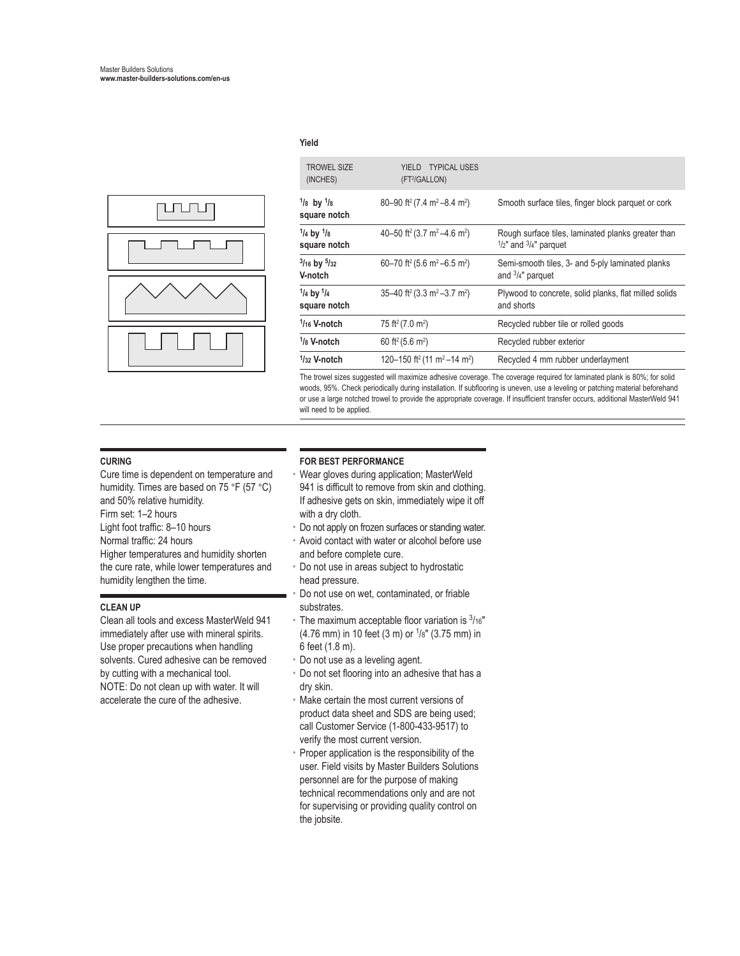

#### **Yield**

| <b>TROWEL SIZE</b><br>(INCHES) | YIELD TYPICAL USES<br>(FT <sup>2</sup> /GALLON)                 |                                                                                                   |
|--------------------------------|-----------------------------------------------------------------|---------------------------------------------------------------------------------------------------|
| $1/8$ by $1/8$<br>square notch | 80-90 ft <sup>2</sup> (7.4 m <sup>2</sup> -8.4 m <sup>2</sup> ) | Smooth surface tiles, finger block parquet or cork                                                |
| $1/4$ by $1/8$<br>square notch | 40-50 ft <sup>2</sup> (3.7 m <sup>2</sup> -4.6 m <sup>2</sup> ) | Rough surface tiles, laminated planks greater than<br>$\frac{1}{2}$ " and $\frac{3}{4}$ " parquet |
| $3/16$ by $5/32$<br>V-notch    | 60-70 ft <sup>2</sup> (5.6 m <sup>2</sup> -6.5 m <sup>2</sup> ) | Semi-smooth tiles, 3- and 5-ply laminated planks<br>and $\frac{3}{4}$ " parquet                   |
| $1/4$ by $1/4$<br>square notch | 35-40 ft <sup>2</sup> (3.3 m <sup>2</sup> -3.7 m <sup>2</sup> ) | Plywood to concrete, solid planks, flat milled solids<br>and shorts                               |
| $1/16$ V-notch                 | 75 ft <sup>2</sup> (7.0 m <sup>2</sup> )                        | Recycled rubber tile or rolled goods                                                              |
| $1/8$ V-notch                  | 60 ft <sup>2</sup> (5.6 m <sup>2</sup> )                        | Recycled rubber exterior                                                                          |
| $1/32$ V-notch                 | 120–150 ft <sup>2</sup> (11 m <sup>2</sup> –14 m <sup>2</sup> ) | Recycled 4 mm rubber underlayment                                                                 |
|                                |                                                                 |                                                                                                   |

The trowel sizes suggested will maximize adhesive coverage. The coverage required for laminated plank is 80%; for solid woods, 95%. Check periodically during installation. If subflooring is uneven, use a leveling or patching material beforehand or use a large notched trowel to provide the appropriate coverage. If insufficient transfer occurs, additional MasterWeld 941 will need to be applied.

#### **CURING**

Cure time is dependent on temperature and humidity. Times are based on 75 °F (57 °C) and 50% relative humidity. Firm set: 1–2 hours Light foot traffic: 8–10 hours Normal traffic: 24 hours

Higher temperatures and humidity shorten the cure rate, while lower temperatures and humidity lengthen the time.

#### **CLEAN UP**

Clean all tools and excess MasterWeld 941 immediately after use with mineral spirits. Use proper precautions when handling solvents. Cured adhesive can be removed by cutting with a mechanical tool. NOTE: Do not clean up with water. It will accelerate the cure of the adhesive.

#### **FOR BEST PERFORMANCE**

• Wear gloves during application; MasterWeld 941 is difficult to remove from skin and clothing. If adhesive gets on skin, immediately wipe it off with a dry cloth.

- Do not apply on frozen surfaces or standing water.
- Avoid contact with water or alcohol before use and before complete cure.
- Do not use in areas subject to hydrostatic head pressure.
- Do not use on wet, contaminated, or friable substrates.
- The maximum acceptable floor variation is  $3/16"$  $(4.76 \text{ mm})$  in 10 feet  $(3 \text{ m})$  or  $1/8$ "  $(3.75 \text{ mm})$  in 6 feet (1.8 m).
- Do not use as a leveling agent.
- Do not set flooring into an adhesive that has a dry skin.
- Make certain the most current versions of product data sheet and SDS are being used; call Customer Service (1-800-433-9517) to verify the most current version.
- Proper application is the responsibility of the user. Field visits by Master Builders Solutions personnel are for the purpose of making technical recommendations only and are not for supervising or providing quality control on the jobsite.